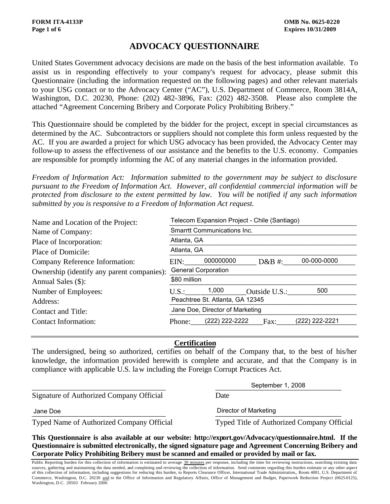# **ADVOCACY QUESTIONNAIRE**

United States Government advocacy decisions are made on the basis of the best information available. To assist us in responding effectively to your company's request for advocacy, please submit this Questionnaire (including the information requested on the following pages) and other relevant materials to your USG contact or to the Advocacy Center ("AC"), U.S. Department of Commerce, Room 3814A, Washington, D.C. 20230, Phone: (202) 482-3896, Fax: (202) 482-3508. Please also complete the attached "Agreement Concerning Bribery and Corporate Policy Prohibiting Bribery."

This Questionnaire should be completed by the bidder for the project, except in special circumstances as determined by the AC. Subcontractors or suppliers should not complete this form unless requested by the AC. If you are awarded a project for which USG advocacy has been provided, the Advocacy Center may follow-up to assess the effectiveness of our assistance and the benefits to the U.S. economy. Companies are responsible for promptly informing the AC of any material changes in the information provided.

*Freedom of Information Act: Information submitted to the government may be subject to disclosure pursuant to the Freedom of Information Act. However, all confidential commercial information will be protected from disclosure to the extent permitted by law. You will be notified if any such information submitted by you is responsive to a Freedom of Information Act request.*

| Name and Location of the Project:          | Telecom Expansion Project - Chile (Santiago) |                                 |               |                |  |  |
|--------------------------------------------|----------------------------------------------|---------------------------------|---------------|----------------|--|--|
| Name of Company:                           | <b>Smarrtt Communications Inc.</b>           |                                 |               |                |  |  |
| Place of Incorporation:                    |                                              | Atlanta, GA<br>Atlanta, GA      |               |                |  |  |
| Place of Domicile:                         |                                              |                                 |               |                |  |  |
| Company Reference Information:             | EIN:                                         | 000000000                       | $D&B#$ :      | 00-000-0000    |  |  |
| Ownership (identify any parent companies): | <b>General Corporation</b><br>\$80 million   |                                 |               |                |  |  |
| Annual Sales (\$):                         |                                              |                                 |               |                |  |  |
| Number of Employees:                       | U.S.: 1,000                                  |                                 | Outside U.S.: | 500            |  |  |
| Address:                                   |                                              | Peachtree St. Atlanta, GA 12345 |               |                |  |  |
| Contact and Title:                         | Jane Doe, Director of Marketing              |                                 |               |                |  |  |
| <b>Contact Information:</b>                | Phone:                                       | (222) 222-2222                  | Fax:          | (222) 222-2221 |  |  |

## **Certification**

The undersigned, being so authorized, certifies on behalf of the Company that, to the best of his/her knowledge, the information provided herewith is complete and accurate, and that the Company is in compliance with applicable U.S. law including the Foreign Corrupt Practices Act.

Signature of Authorized Company Official Date Signature of Authorized Company Official Black Date<br>Jane Doe Director of Marketing

Typed Name of Authorized Company Official Typed Title of Authorized Company Official

September 1, 2008

\_\_\_\_\_\_\_\_\_\_\_\_\_\_\_\_\_\_\_\_\_\_\_\_\_\_\_\_\_\_\_\_\_\_\_ \_\_\_\_\_\_\_\_\_\_\_\_\_\_\_\_\_\_\_\_\_\_\_\_\_\_\_\_\_\_\_\_\_

**This Questionnaire is also available at our website: http://export.gov/Advocacy/questionnaire.html. If the Questionnaire is submitted electronically, the signed signature page and Agreement Concerning Bribery and Corporate Policy Prohibiting Bribery must be scanned and emailed or provided by mail or fax.**

Public Reporting burden for this collection of information is estimated to average 30 minutes per response, including the time for reviewing instructions, searching existing data sources, gathering and maintaining the data needed, and completing and reviewing the collection of information. Send comments regarding this burden estimate or any other aspect of this collection of information, including suggestions for reducing this burden, to Reports Clearance Officer, International Trade Administration,, Room 4001, U.S. Department of Commerce, Washington, D.C. 20230 and to the Office of Information and Regulatory Affairs, Office of Management and Budget, Paperwork Reduction Project (0625-0125), Washington, D.C. 20503 February 2006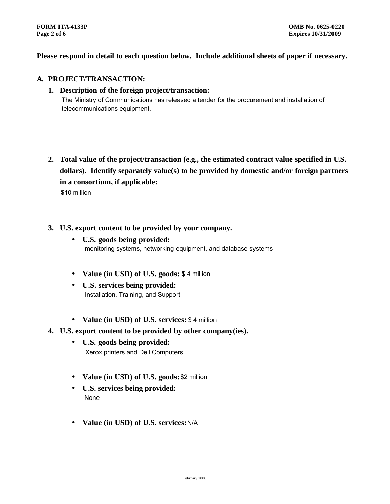**Please respond in detail to each question below. Include additional sheets of paper if necessary.**

## **A. PROJECT/TRANSACTION:**

- **1. Description of the foreign project/transaction:** The Ministry of Communications has released a tender for the procurement and installation of telecommunications equipment.
- **2. Total value of the project/transaction (e.g., the estimated contract value specified in U.S. dollars). Identify separately value(s) to be provided by domestic and/or foreign partners in a consortium, if applicable:** \$10 million
- **3. U.S. export content to be provided by your company.**
	- **U.S. goods being provided:** monitoring systems, networking equipment, and database systems
	- **Value (in USD) of U.S. goods:** \$ 4 million
	- **U.S. services being provided:** Installation, Training, and Support
	- **Value (in USD) of U.S. services:** \$ 4 million
- **4. U.S. export content to be provided by other company(ies).**
	- **U.S. goods being provided:** Xerox printers and Dell Computers
	- **Value (in USD) of U.S. goods:** \$2 million
	- **U.S. services being provided:** None
	- **Value (in USD) of U.S. services:** N/A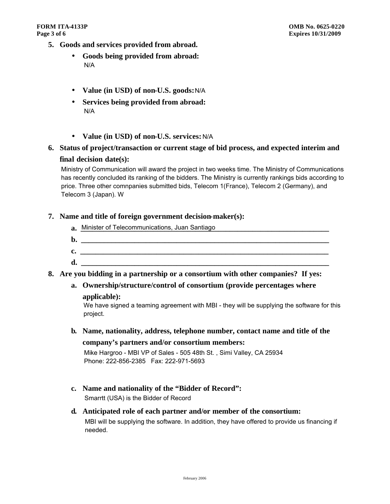- **5. Goods and services provided from abroad.**
	- **Goods being provided from abroad:** N/A
	- **Value (in USD) of non-U.S. goods:** N/A
	- **Services being provided from abroad:** N/A
	- **Value (in USD) of non-U.S. services:** N/A
- **6. Status of project/transaction or current stage of bid process, and expected interim and final decision date(s):**

Ministry of Communication will award the project in two weeks time. The Ministry of Communications has recently concluded its ranking of the bidders. The Ministry is currently rankings bids according to price. Three other comnpanies submitted bids, Telecom 1(France), Telecom 2 (Germany), and Telecom 3 (Japan). W

## **7. Name and title of foreign government decision-maker(s):**

- a. Minister of Telecommunications, Juan Santiago **Communications** of the Suite of Telecommunications, Juan Santiago
- **b.**  $\blacksquare$
- **c. \_\_\_\_\_\_\_\_\_\_\_\_\_\_\_\_\_\_\_\_\_\_\_\_\_\_\_\_\_\_\_\_\_\_\_\_\_\_\_\_\_\_\_\_\_\_\_\_\_\_\_\_\_\_\_\_\_\_\_\_\_\_\_\_\_**
- **d. \_\_\_\_\_\_\_\_\_\_\_\_\_\_\_\_\_\_\_\_\_\_\_\_\_\_\_\_\_\_\_\_\_\_\_\_\_\_\_\_\_\_\_\_\_\_\_\_\_\_\_\_\_\_\_\_\_\_\_\_\_\_\_\_\_**
- **8. Are you bidding in a partnership or a consortium with other companies? If yes:**
	- **a. Ownership/structure/control of consortium (provide percentages where**

## **applicable):**

We have signed a teaming agreement with MBI - they will be supplying the software for this project.

**b. Name, nationality, address, telephone number, contact name and title of the company's partners and/or consortium members:**

Mike Hargroo - MBI VP of Sales - 505 48th St. , Simi Valley, CA 25934 Phone: 222-856-2385 Fax: 222-971-5693

- **c. Name and nationality of the "Bidder of Record":** Smarrtt (USA) is the Bidder of Record
- **d. Anticipated role of each partner and/or member of the consortium:** MBI will be supplying the software. In addition, they have offered to provide us financing if needed.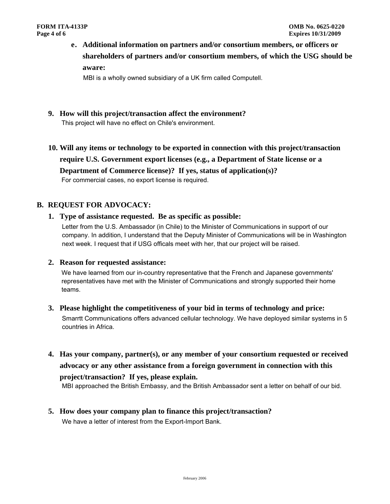**e. Additional information on partners and/or consortium members, or officers or shareholders of partners and/or consortium members, of which the USG should be aware:**

MBI is a wholly owned subsidiary of a UK firm called Computell.

- **9. How will this project/transaction affect the environment?**
- **10. Will any items or technology to be exported in connection with this project/transaction require U.S. Government export licenses (e.g., a Department of State license or a Department of Commerce license)? If yes, status of application(s)?** This project will have no effect on Chile's environment.<br>Will any items or technology to be exported in correquire U.S. Government export licenses (e.g., a<br>Department of Commerce license)? If yes, status<br>For commercial cas

## **B. REQUEST FOR ADVOCACY:**

**1. Type of assistance requested. Be as specific as possible:**

Letter from the U.S. Ambassador (in Chile) to the Minister of Communications in support of our company. In addition, I understand that the Deputy Minister of Communications will be in Washington next week. I request that if USG officals meet with her, that our project will be raised.

**2. Reason for requested assistance:**

We have learned from our in-country representative that the French and Japanese governments' representatives have met with the Minister of Communications and strongly supported their home teams.

- **3. Please highlight the competitiveness of your bid in terms of technology and price:** Smarrtt Communications offers advanced cellular technology. We have deployed similar systems in 5
- **4. Has your company, partner(s), or any member of your consortium requested or received advocacy or any other assistance from a foreign government in connection with this project/transaction? If yes, please explain.** countries in Africa.<br>Has your company, partner(s), or any member of your consortium requested or receive<br>idvocacy or any other assistance from a foreign government in connection with this<br>project/transaction? If yes, pleas

**5. How does your company plan to finance this project/transaction?** We have a letter of interest from the Export-Import Bank.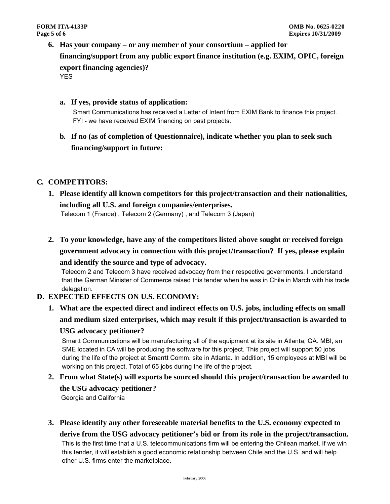- **6. Has your company or any member of your consortium applied for financing/support from any public export finance institution (e.g. EXIM, OPIC, foreign export financing agencies)?** 
	- **a. If yes, provide status of application:**

YES<br> **a. If yes, provide status of application:**<br>
Smart Communications has received a Letter of Intent from EXIM Bank to finance this project. FYI - we have received EXIM financing on past projects.

**b. If no (as of completion of Questionnaire), indicate whether you plan to seek such financing/support in future:**

## **C. COMPETITORS:**

**1. Please identify all known competitors for this project/transaction and their nationalities, including all U.S. and foreign companies/enterprises.**

Telecom 1 (France) , Telecom 2 (Germany) , and Telecom 3 (Japan)

**2. To your knowledge, have any of the competitors listed above sought or received foreign government advocacy in connection with this project/transaction? If yes, please explain** 

#### **and identify the source and type of advocacy.**

Telecom 2 and Telecom 3 have received advocacy from their respective governments. I understand that the German Minister of Commerce raised this tender when he was in Chile in March with his trade delegation.

## **D. EXPECTED EFFECTS ON U.S. ECONOMY:**

**1. What are the expected direct and indirect effects on U.S. jobs, including effects on small and medium sized enterprises, which may result if this project/transaction is awarded to** 

## **USG advocacy petitioner?**

Smartt Communications will be manufacturing all of the equipment at its site in Atlanta, GA. MBI, an SME located in CA will be producing the software for this project. This project will support 50 jobs during the life of the project at Smarrtt Comm. site in Atlanta. In addition, 15 employees at MBI will be working on this project. Total of 65 jobs during the life of the project.

## **2. From what State(s) will exports be sourced should this project/transaction be awarded to**

**the USG advocacy petitioner?** Georgia and California

**3. Please identify any other foreseeable material benefits to the U.S. economy expected to** 

**derive from the USG advocacy petitioner's bid or from its role in the project/transaction.** This is the first time that a U.S. telecommunications firm will be entering the Chilean market. If we win this tender, it will establish a good economic relationship between Chile and the U.S. and will help other U.S. firms enter the marketplace.